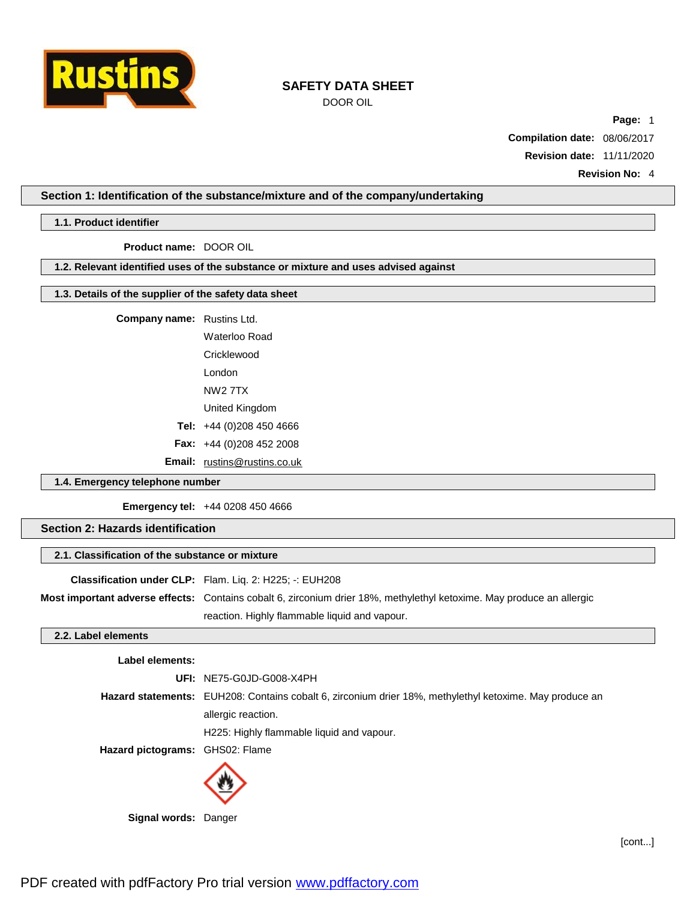

DOOR OIL

**Page:** 1

**Compilation date:** 08/06/2017 **Revision date:** 11/11/2020

**Revision No:** 4

## **Section 1: Identification of the substance/mixture and of the company/undertaking**

## **1.1. Product identifier**

**Product name:** DOOR OIL

**1.2. Relevant identified uses of the substance or mixture and uses advised against**

# **1.3. Details of the supplier of the safety data sheet**

| <b>Company name:</b> Rustins Ltd. |  |
|-----------------------------------|--|
|-----------------------------------|--|

Waterloo Road **Cricklewood** London NW2 7TX United Kingdom **Tel:** +44 (0)208 450 4666 **Fax:** +44 (0)208 452 2008 **Email:** [rustins@rustins.co.uk](mailto:rustins@rustins.co.uk)

## **1.4. Emergency telephone number**

**Emergency tel:** +44 0208 450 4666

# **Section 2: Hazards identification**

## **2.1. Classification of the substance or mixture**

| <b>Classification under CLP:</b> Flam. Lig. 2: H225: -: EUH208                                                        |
|-----------------------------------------------------------------------------------------------------------------------|
| Most important adverse effects: Contains cobalt 6, zirconium drier 18%, methylethyl ketoxime. May produce an allergic |
| reaction. Highly flammable liquid and vapour.                                                                         |

## **2.2. Label elements**

## **Label elements:**

|                                 | UFI: NE75-G0JD-G008-X4PH                                                                                       |
|---------------------------------|----------------------------------------------------------------------------------------------------------------|
|                                 | <b>Hazard statements:</b> EUH208: Contains cobalt 6, zirconium drier 18%, methylethyl ketoxime. May produce an |
|                                 | allergic reaction.                                                                                             |
|                                 | H225: Highly flammable liquid and vapour.                                                                      |
| Hazard pictograms: GHS02: Flame |                                                                                                                |
|                                 |                                                                                                                |



**Signal words:** Danger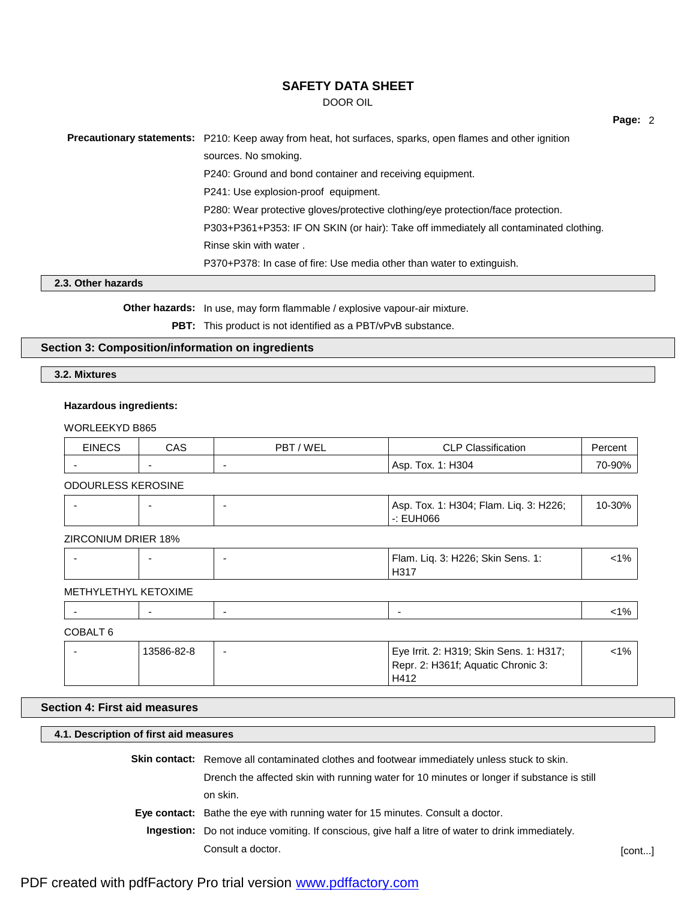DOOR OIL

| <b>Precautionary statements:</b> P210: Keep away from heat, hot surfaces, sparks, open flames and other ignition |
|------------------------------------------------------------------------------------------------------------------|
| sources. No smoking.                                                                                             |
| P240: Ground and bond container and receiving equipment.                                                         |
| P241: Use explosion-proof equipment.                                                                             |
| P280: Wear protective gloves/protective clothing/eye protection/face protection.                                 |
| P303+P361+P353: IF ON SKIN (or hair): Take off immediately all contaminated clothing.                            |
| Rinse skin with water.                                                                                           |
| P370+P378: In case of fire: Use media other than water to extinguish.                                            |

## **2.3. Other hazards**

**Other hazards:** In use, may form flammable / explosive vapour-air mixture.

**PBT:** This product is not identified as a PBT/vPvB substance.

# **Section 3: Composition/information on ingredients**

**3.2. Mixtures**

## **Hazardous ingredients:**

WORLEEKYD B865

| <b>EINECS</b> | CAS | 'WEL<br>$PB^{+}$ | <b>CLP Classification</b><br>◡∟    |  |
|---------------|-----|------------------|------------------------------------|--|
|               | . . |                  | 1: H304<br><sup>т</sup> ох.<br>Asp |  |

ODOURLESS KEROSINE

| 380HL |
|-------|
|-------|

ZIRCONIUM DRIER 18%

|  | Flam. Lig. 3: H226; Skin Sens. 1: | 1 O A<br>70 |
|--|-----------------------------------|-------------|
|  | H317                              |             |

### METHYLETHYL KETOXIME

# COBALT 6

|  | 13586-82-8 | $\overline{\phantom{0}}$ | Eye Irrit. 2: H319; Skin Sens. 1: H317; | <1% |
|--|------------|--------------------------|-----------------------------------------|-----|
|  |            |                          | Repr. 2: H361f; Aquatic Chronic 3:      |     |
|  |            |                          | H412                                    |     |

# **Section 4: First aid measures**

## **4.1. Description of first aid measures**

**Skin contact:** Remove all contaminated clothes and footwear immediately unless stuck to skin.

Drench the affected skin with running water for 10 minutes or longer if substance is still on skin.

**Eye contact:** Bathe the eye with running water for 15 minutes. Consult a doctor.

**Ingestion:** Do not induce vomiting. If conscious, give half a litre of water to drink immediately. Consult a doctor. [cont...]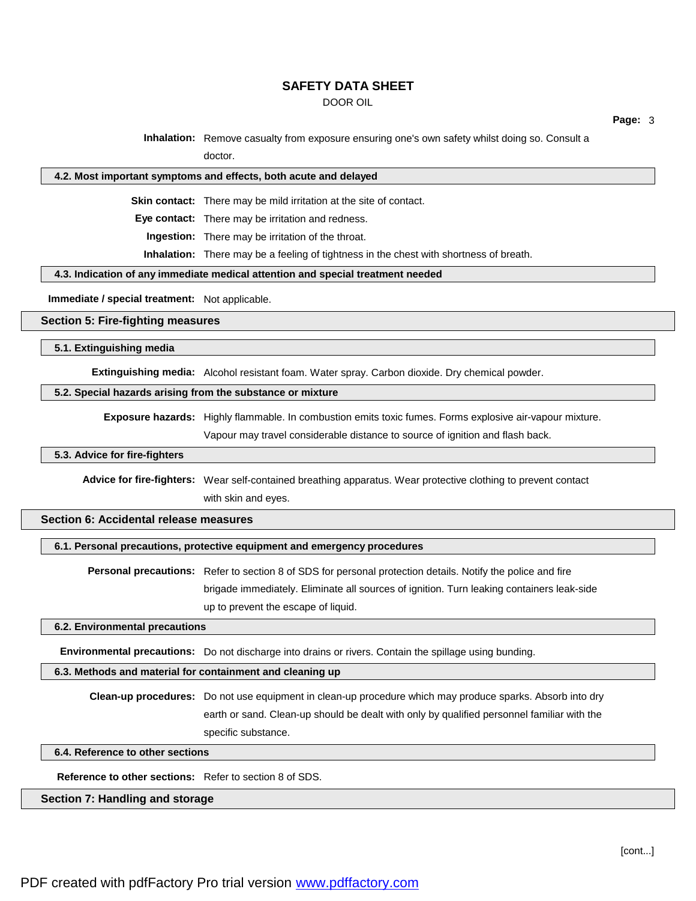DOOR OIL

**Page:** 3

**Inhalation:** Remove casualty from exposure ensuring one's own safety whilst doing so. Consult a doctor.

### **4.2. Most important symptoms and effects, both acute and delayed**

**Skin contact:** There may be mild irritation at the site of contact.

**Eye contact:** There may be irritation and redness.

**Ingestion:** There may be irritation of the throat.

**Inhalation:** There may be a feeling of tightness in the chest with shortness of breath.

**4.3. Indication of any immediate medical attention and special treatment needed**

**Immediate / special treatment:** Not applicable.

### **Section 5: Fire-fighting measures**

**5.1. Extinguishing media**

**Extinguishing media:** Alcohol resistant foam. Water spray. Carbon dioxide. Dry chemical powder.

## **5.2. Special hazards arising from the substance or mixture**

**Exposure hazards:** Highly flammable. In combustion emits toxic fumes. Forms explosive air-vapour mixture.

Vapour may travel considerable distance to source of ignition and flash back.

### **5.3. Advice for fire-fighters**

**Advice for fire-fighters:** Wear self-contained breathing apparatus. Wear protective clothing to prevent contact with skin and eyes.

## **Section 6: Accidental release measures**

### **6.1. Personal precautions, protective equipment and emergency procedures**

**Personal precautions:** Refer to section 8 of SDS for personal protection details. Notify the police and fire brigade immediately. Eliminate all sources of ignition. Turn leaking containers leak-side up to prevent the escape of liquid.

### **6.2. Environmental precautions**

**Environmental precautions:** Do not discharge into drains or rivers. Contain the spillage using bunding.

### **6.3. Methods and material for containment and cleaning up**

**Clean-up procedures:** Do not use equipment in clean-up procedure which may produce sparks. Absorb into dry earth or sand. Clean-up should be dealt with only by qualified personnel familiar with the specific substance.

### **6.4. Reference to other sections**

**Reference to other sections:** Refer to section 8 of SDS.

# **Section 7: Handling and storage**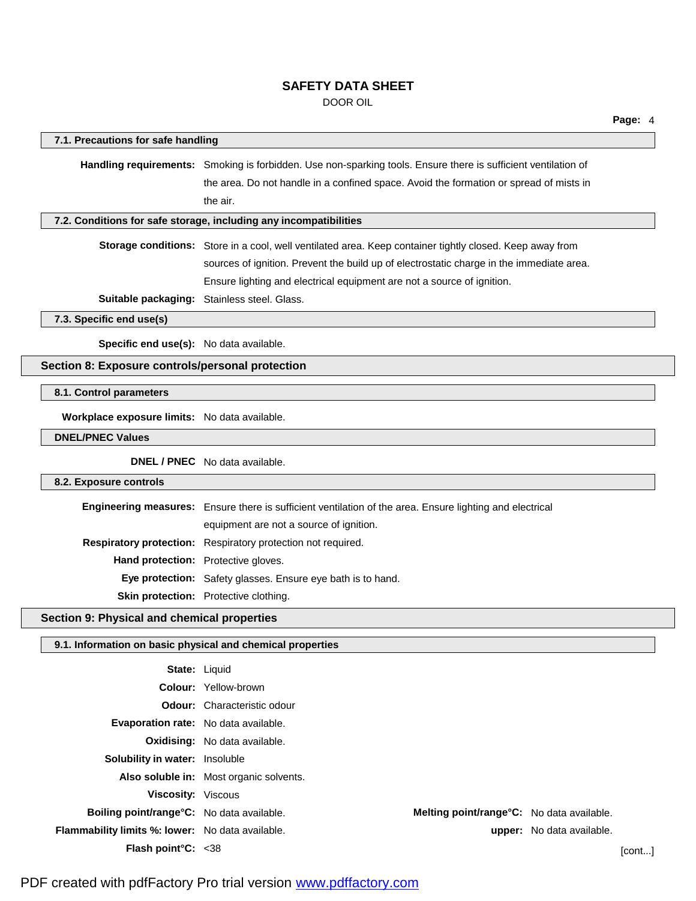DOOR OIL

| 7.1. Precautions for safe handling                         |                                                                                                                |                                           |                           |
|------------------------------------------------------------|----------------------------------------------------------------------------------------------------------------|-------------------------------------------|---------------------------|
|                                                            | Handling requirements: Smoking is forbidden. Use non-sparking tools. Ensure there is sufficient ventilation of |                                           |                           |
|                                                            | the area. Do not handle in a confined space. Avoid the formation or spread of mists in                         |                                           |                           |
|                                                            | the air.                                                                                                       |                                           |                           |
|                                                            | 7.2. Conditions for safe storage, including any incompatibilities                                              |                                           |                           |
|                                                            | Storage conditions: Store in a cool, well ventilated area. Keep container tightly closed. Keep away from       |                                           |                           |
|                                                            | sources of ignition. Prevent the build up of electrostatic charge in the immediate area.                       |                                           |                           |
|                                                            | Ensure lighting and electrical equipment are not a source of ignition.                                         |                                           |                           |
|                                                            | Suitable packaging: Stainless steel. Glass.                                                                    |                                           |                           |
| 7.3. Specific end use(s)                                   |                                                                                                                |                                           |                           |
|                                                            |                                                                                                                |                                           |                           |
| Specific end use(s): No data available.                    |                                                                                                                |                                           |                           |
| Section 8: Exposure controls/personal protection           |                                                                                                                |                                           |                           |
| 8.1. Control parameters                                    |                                                                                                                |                                           |                           |
| Workplace exposure limits: No data available.              |                                                                                                                |                                           |                           |
| <b>DNEL/PNEC Values</b>                                    |                                                                                                                |                                           |                           |
|                                                            | <b>DNEL / PNEC</b> No data available.                                                                          |                                           |                           |
| 8.2. Exposure controls                                     |                                                                                                                |                                           |                           |
|                                                            | Engineering measures: Ensure there is sufficient ventilation of the area. Ensure lighting and electrical       |                                           |                           |
|                                                            | equipment are not a source of ignition.                                                                        |                                           |                           |
|                                                            | Respiratory protection: Respiratory protection not required.                                                   |                                           |                           |
| Hand protection: Protective gloves.                        |                                                                                                                |                                           |                           |
|                                                            | Eye protection: Safety glasses. Ensure eye bath is to hand.                                                    |                                           |                           |
|                                                            | Skin protection: Protective clothing.                                                                          |                                           |                           |
| Section 9: Physical and chemical properties                |                                                                                                                |                                           |                           |
| 9.1. Information on basic physical and chemical properties |                                                                                                                |                                           |                           |
|                                                            | <b>State: Liquid</b>                                                                                           |                                           |                           |
|                                                            | Colour: Yellow-brown                                                                                           |                                           |                           |
|                                                            | <b>Odour:</b> Characteristic odour                                                                             |                                           |                           |
| Evaporation rate: No data available.                       |                                                                                                                |                                           |                           |
|                                                            | <b>Oxidising:</b> No data available.                                                                           |                                           |                           |
| Solubility in water: Insoluble                             |                                                                                                                |                                           |                           |
|                                                            | Also soluble in: Most organic solvents.                                                                        |                                           |                           |
| Viscosity: Viscous                                         |                                                                                                                |                                           |                           |
| Boiling point/range°C: No data available.                  |                                                                                                                | Melting point/range°C: No data available. |                           |
| Flammability limits %: lower: No data available.           |                                                                                                                |                                           | upper: No data available. |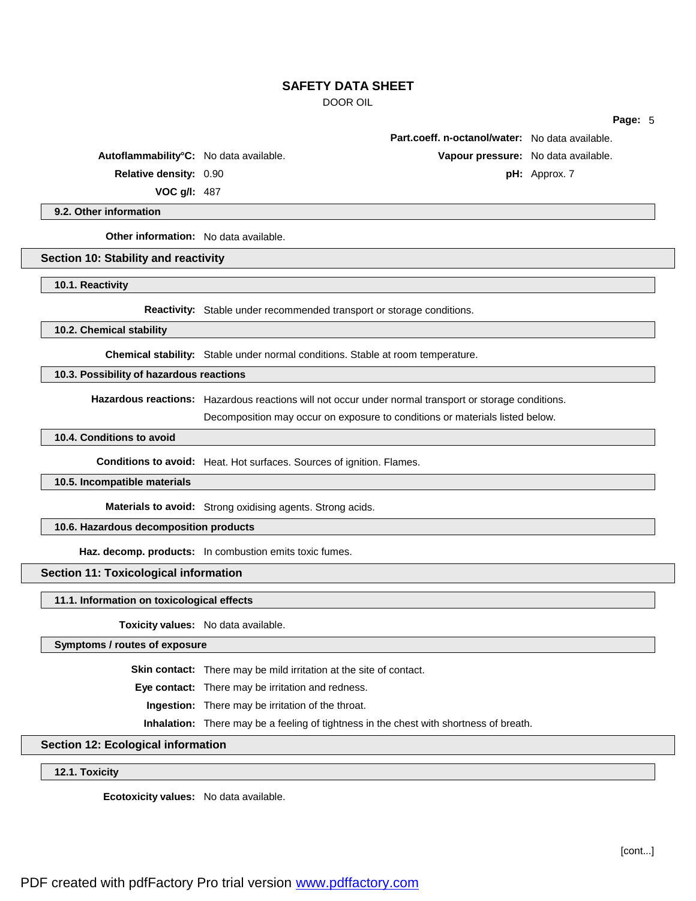DOOR OIL

**Page:** 5

**Relative density:** 0.90 **pH:** Approx. 7

**VOC g/l:** 487

# **9.2. Other information**

**Other information:** No data available.

**Section 10: Stability and reactivity**

**10.1. Reactivity**

**Reactivity:** Stable under recommended transport or storage conditions.

### **10.2. Chemical stability**

**Chemical stability:** Stable under normal conditions. Stable at room temperature.

# **10.3. Possibility of hazardous reactions**

**Hazardous reactions:** Hazardous reactions will not occur under normal transport or storage conditions.

Decomposition may occur on exposure to conditions or materials listed below.

## **10.4. Conditions to avoid**

**Conditions to avoid:** Heat. Hot surfaces. Sources of ignition. Flames.

## **10.5. Incompatible materials**

**Materials to avoid:** Strong oxidising agents. Strong acids.

# **10.6. Hazardous decomposition products**

**Haz. decomp. products:** In combustion emits toxic fumes.

### **Section 11: Toxicological information**

#### **11.1. Information on toxicological effects**

**Toxicity values:** No data available.

## **Symptoms / routes of exposure**

**Skin contact:** There may be mild irritation at the site of contact.

**Eye contact:** There may be irritation and redness.

**Ingestion:** There may be irritation of the throat.

**Inhalation:** There may be a feeling of tightness in the chest with shortness of breath.

# **Section 12: Ecological information**

**12.1. Toxicity**

**Ecotoxicity values:** No data available.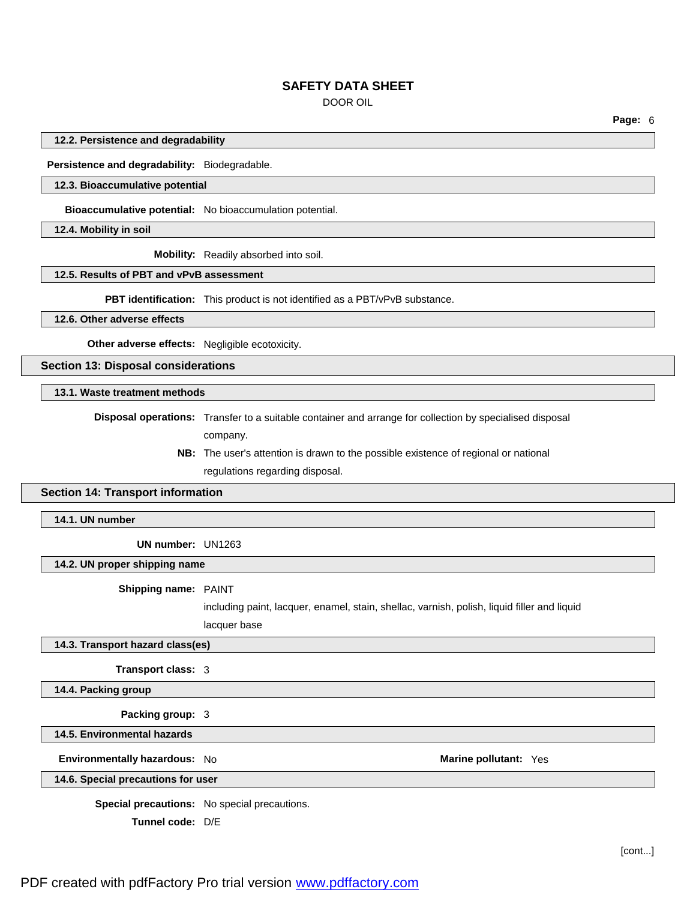DOOR OIL

**Page:** 6

#### **12.2. Persistence and degradability**

**Persistence and degradability:** Biodegradable.

### **12.3. Bioaccumulative potential**

**Bioaccumulative potential:** No bioaccumulation potential.

**12.4. Mobility in soil**

**Mobility:** Readily absorbed into soil.

## **12.5. Results of PBT and vPvB assessment**

**PBT identification:** This product is not identified as a PBT/vPvB substance.

**12.6. Other adverse effects**

**Other adverse effects:** Negligible ecotoxicity.

**Section 13: Disposal considerations**

**13.1. Waste treatment methods**

**Disposal operations:** Transfer to a suitable container and arrange for collection by specialised disposal company.

> **NB:** The user's attention is drawn to the possible existence of regional or national regulations regarding disposal.

## **Section 14: Transport information**

**14.1. UN number**

**UN number:** UN1263

### **14.2. UN proper shipping name**

**Shipping name:** PAINT

including paint, lacquer, enamel, stain, shellac, varnish, polish, liquid filler and liquid lacquer base

### **14.3. Transport hazard class(es)**

**Transport class:** 3

**14.4. Packing group**

**Packing group:** 3

**14.5. Environmental hazards**

**Environmentally hazardous:** No **Marine pollutant:** Yes **Marine pollutant:** Yes

### **14.6. Special precautions for user**

**Special precautions:** No special precautions.

**Tunnel code:** D/E